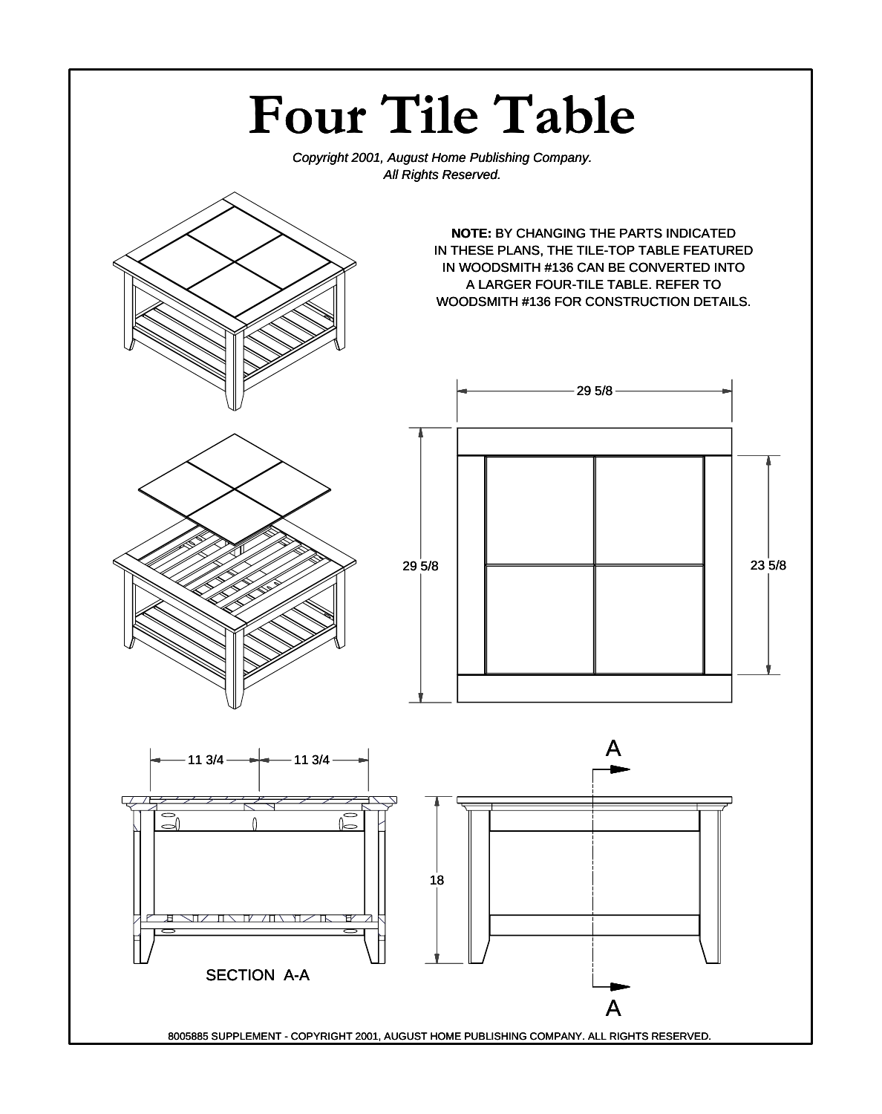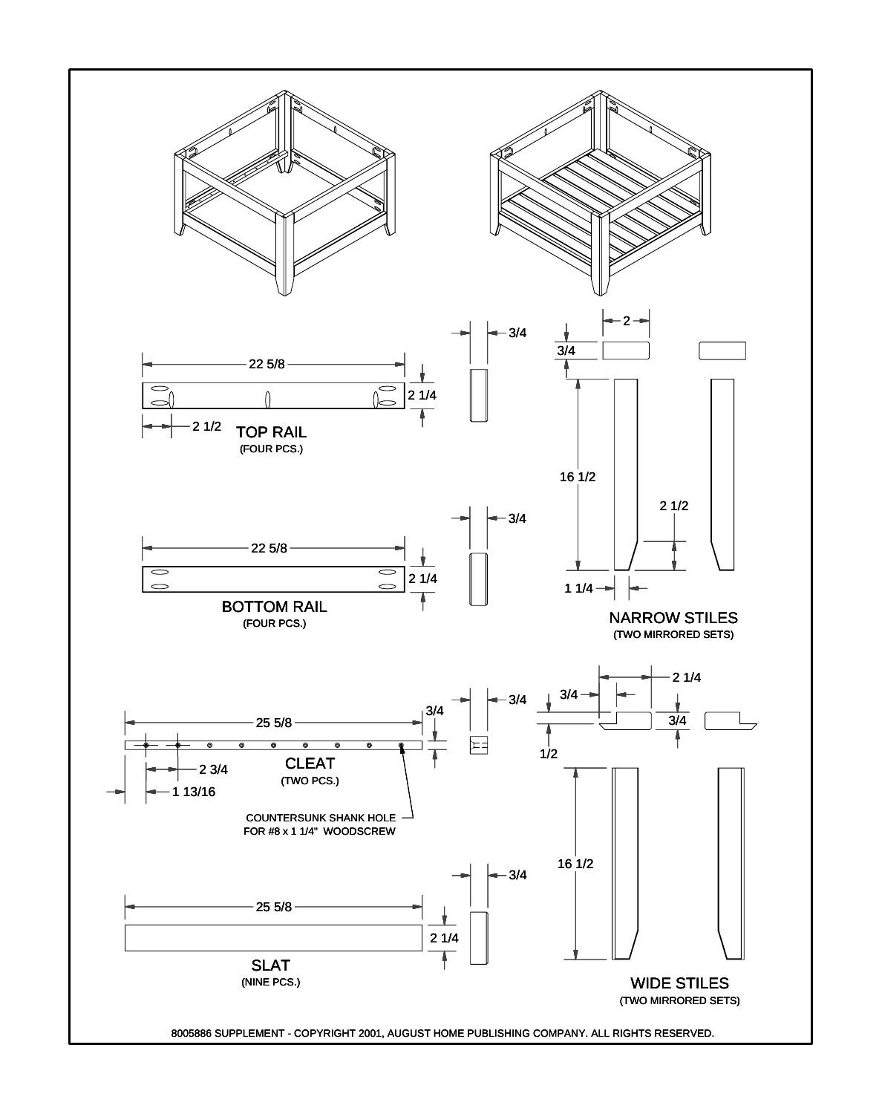